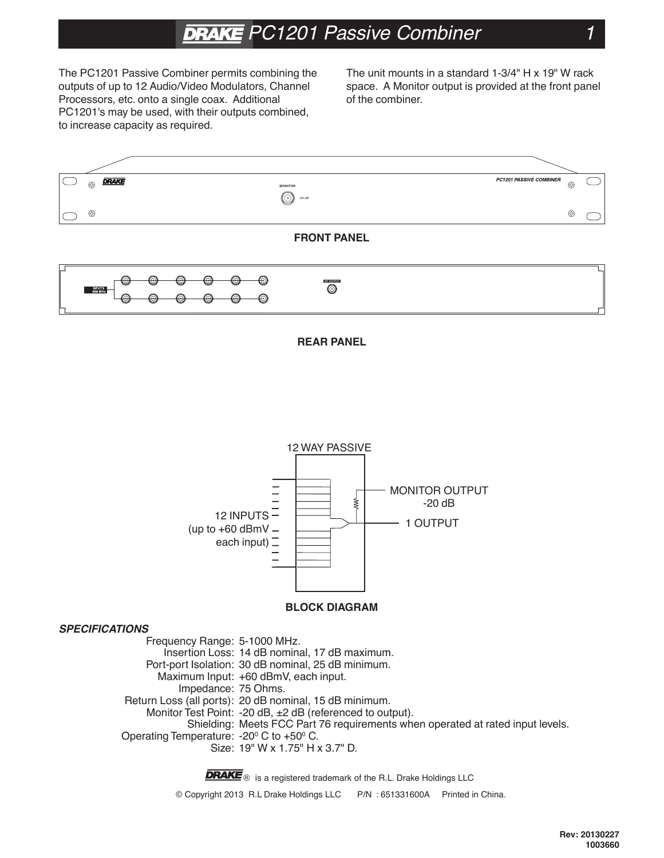# **DRAKE** PC1201 Passive Combiner

The PC1201 Passive Combiner permits combining the outputs of up to 12 Audio/Video Modulators, Channel Processors, etc. onto a single coax. Additional PC1201's may be used, with their outputs combined, to increase capacity as required.

The unit mounts in a standard 1-3/4" H x 19" W rack space. A Monitor output is provided at the front panel of the combiner.







#### **BLOCK DIAGRAM**

#### **SPECIFICATIONS**

Frequency Range: 5-1000 MHz. Insertion Loss: 14 dB nominal, 17 dB maximum. Port-port Isolation: 30 dB nominal, 25 dB minimum. Maximum Input: +60 dBmV, each input. Impedance: 75 Ohms. Return Loss (all ports): 20 dB nominal, 15 dB minimum. Monitor Test Point: -20 dB, ±2 dB (referenced to output). Shielding: Meets FCC Part 76 requirements when operated at rated input levels. Operating Temperature: -20<sup>o</sup> C to +50<sup>o</sup> C. Size: 19" W x 1.75" H x 3.7" D.

> **DRAKE** ® is a registered trademark of the R.L. Drake Holdings LLC © Copyright 2013 R.L. Drake Holdings LLC P/N : 651331600A Printed in China.